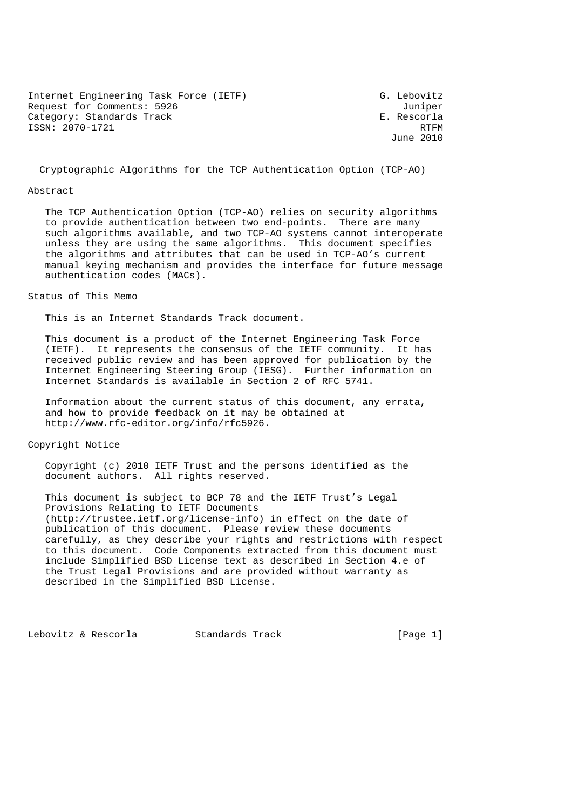Internet Engineering Task Force (IETF) G. Lebovitz Request for Comments: 5926 Juniper Category: Standards Track E. Rescorla ISSN: 2070-1721 RTFM

June 2010

Cryptographic Algorithms for the TCP Authentication Option (TCP-AO)

#### Abstract

 The TCP Authentication Option (TCP-AO) relies on security algorithms to provide authentication between two end-points. There are many such algorithms available, and two TCP-AO systems cannot interoperate unless they are using the same algorithms. This document specifies the algorithms and attributes that can be used in TCP-AO's current manual keying mechanism and provides the interface for future message authentication codes (MACs).

Status of This Memo

This is an Internet Standards Track document.

 This document is a product of the Internet Engineering Task Force (IETF). It represents the consensus of the IETF community. It has received public review and has been approved for publication by the Internet Engineering Steering Group (IESG). Further information on Internet Standards is available in Section 2 of RFC 5741.

 Information about the current status of this document, any errata, and how to provide feedback on it may be obtained at http://www.rfc-editor.org/info/rfc5926.

Copyright Notice

 Copyright (c) 2010 IETF Trust and the persons identified as the document authors. All rights reserved.

 This document is subject to BCP 78 and the IETF Trust's Legal Provisions Relating to IETF Documents (http://trustee.ietf.org/license-info) in effect on the date of publication of this document. Please review these documents carefully, as they describe your rights and restrictions with respect to this document. Code Components extracted from this document must include Simplified BSD License text as described in Section 4.e of the Trust Legal Provisions and are provided without warranty as described in the Simplified BSD License.

Lebovitz & Rescorla Standards Track [Page 1]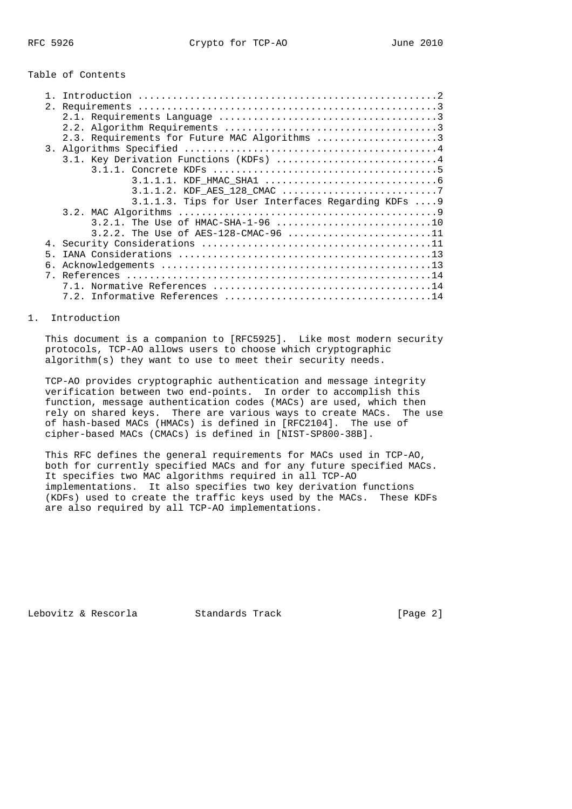# Table of Contents

|   | 2. |                                                    |  |
|---|----|----------------------------------------------------|--|
|   |    |                                                    |  |
|   |    |                                                    |  |
|   |    | 2.3. Requirements for Future MAC Algorithms 3      |  |
|   |    |                                                    |  |
|   |    | 3.1. Key Derivation Functions (KDFs)  4            |  |
|   |    |                                                    |  |
|   |    |                                                    |  |
|   |    |                                                    |  |
|   |    | 3.1.1.3. Tips for User Interfaces Regarding KDFs 9 |  |
|   |    |                                                    |  |
|   |    |                                                    |  |
|   |    |                                                    |  |
|   |    | 3.2.2. The Use of AES-128-CMAC-96 11               |  |
|   | 4. |                                                    |  |
|   | 5. |                                                    |  |
|   | б. |                                                    |  |
| 7 |    |                                                    |  |
|   |    |                                                    |  |
|   |    |                                                    |  |
|   |    |                                                    |  |

## 1. Introduction

 This document is a companion to [RFC5925]. Like most modern security protocols, TCP-AO allows users to choose which cryptographic algorithm(s) they want to use to meet their security needs.

 TCP-AO provides cryptographic authentication and message integrity verification between two end-points. In order to accomplish this function, message authentication codes (MACs) are used, which then rely on shared keys. There are various ways to create MACs. The use of hash-based MACs (HMACs) is defined in [RFC2104]. The use of cipher-based MACs (CMACs) is defined in [NIST-SP800-38B].

 This RFC defines the general requirements for MACs used in TCP-AO, both for currently specified MACs and for any future specified MACs. It specifies two MAC algorithms required in all TCP-AO implementations. It also specifies two key derivation functions (KDFs) used to create the traffic keys used by the MACs. These KDFs are also required by all TCP-AO implementations.

Lebovitz & Rescorla Standards Track [Page 2]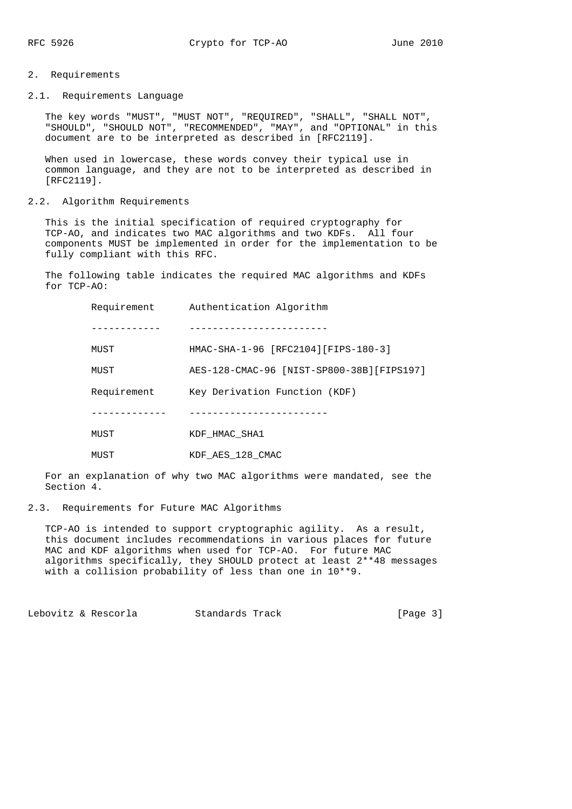# 2. Requirements

2.1. Requirements Language

 The key words "MUST", "MUST NOT", "REQUIRED", "SHALL", "SHALL NOT", "SHOULD", "SHOULD NOT", "RECOMMENDED", "MAY", and "OPTIONAL" in this document are to be interpreted as described in [RFC2119].

 When used in lowercase, these words convey their typical use in common language, and they are not to be interpreted as described in [RFC2119].

# 2.2. Algorithm Requirements

 This is the initial specification of required cryptography for TCP-AO, and indicates two MAC algorithms and two KDFs. All four components MUST be implemented in order for the implementation to be fully compliant with this RFC.

 The following table indicates the required MAC algorithms and KDFs for TCP-AO:

| Requirement | Authentication Algorithm                   |
|-------------|--------------------------------------------|
|             |                                            |
| MUST        | HMAC-SHA-1-96 [RFC2104] [FIPS-180-3]       |
| MUST        | AES-128-CMAC-96 [NIST-SP800-38B] [FIPS197] |
| Requirement | Key Derivation Function (KDF)              |
|             |                                            |
| MUST        | KDF HMAC SHA1                              |
| MUST        | KDF_AES_128_CMAC                           |

 For an explanation of why two MAC algorithms were mandated, see the Section 4.

## 2.3. Requirements for Future MAC Algorithms

 TCP-AO is intended to support cryptographic agility. As a result, this document includes recommendations in various places for future MAC and KDF algorithms when used for TCP-AO. For future MAC algorithms specifically, they SHOULD protect at least 2\*\*48 messages with a collision probability of less than one in 10\*\*9.

Lebovitz & Rescorla Standards Track [Page 3]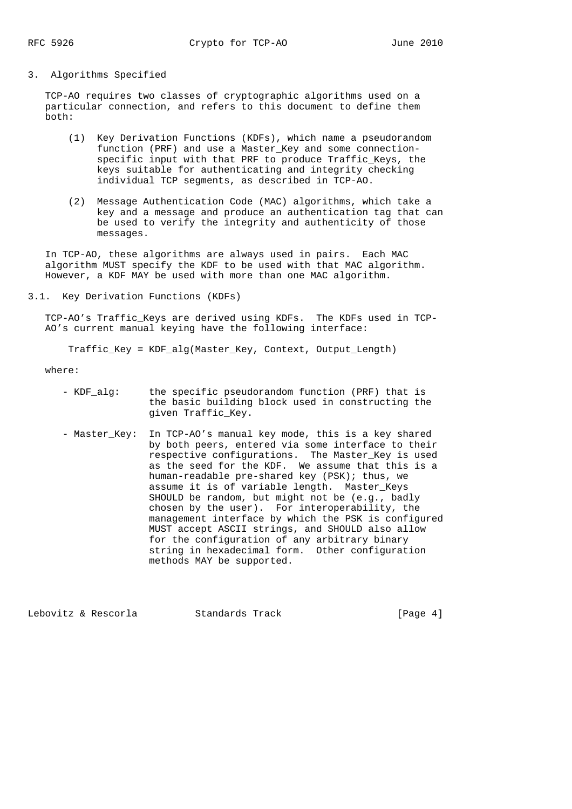#### 3. Algorithms Specified

 TCP-AO requires two classes of cryptographic algorithms used on a particular connection, and refers to this document to define them both:

- (1) Key Derivation Functions (KDFs), which name a pseudorandom function (PRF) and use a Master\_Key and some connection specific input with that PRF to produce Traffic Keys, the keys suitable for authenticating and integrity checking individual TCP segments, as described in TCP-AO.
- (2) Message Authentication Code (MAC) algorithms, which take a key and a message and produce an authentication tag that can be used to verify the integrity and authenticity of those messages.

 In TCP-AO, these algorithms are always used in pairs. Each MAC algorithm MUST specify the KDF to be used with that MAC algorithm. However, a KDF MAY be used with more than one MAC algorithm.

3.1. Key Derivation Functions (KDFs)

 TCP-AO's Traffic\_Keys are derived using KDFs. The KDFs used in TCP- AO's current manual keying have the following interface:

Traffic\_Key = KDF\_alg(Master\_Key, Context, Output\_Length)

where:

- KDF\_alg: the specific pseudorandom function (PRF) that is the basic building block used in constructing the given Traffic\_Key.
- Master\_Key: In TCP-AO's manual key mode, this is a key shared by both peers, entered via some interface to their respective configurations. The Master\_Key is used as the seed for the KDF. We assume that this is a human-readable pre-shared key (PSK); thus, we assume it is of variable length. Master\_Keys SHOULD be random, but might not be (e.g., badly chosen by the user). For interoperability, the management interface by which the PSK is configured MUST accept ASCII strings, and SHOULD also allow for the configuration of any arbitrary binary string in hexadecimal form. Other configuration methods MAY be supported.

Lebovitz & Rescorla and Standards Track and Standards (Page 4)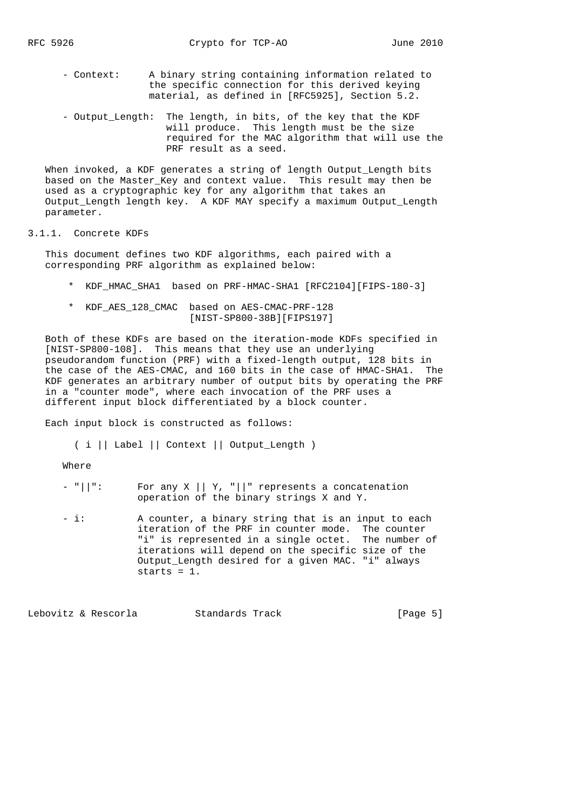- Context: A binary string containing information related to the specific connection for this derived keying material, as defined in [RFC5925], Section 5.2.
- Output\_Length: The length, in bits, of the key that the KDF will produce. This length must be the size required for the MAC algorithm that will use the PRF result as a seed.

 When invoked, a KDF generates a string of length Output\_Length bits based on the Master Key and context value. This result may then be used as a cryptographic key for any algorithm that takes an Output\_Length length key. A KDF MAY specify a maximum Output\_Length parameter.

# 3.1.1. Concrete KDFs

 This document defines two KDF algorithms, each paired with a corresponding PRF algorithm as explained below:

- \* KDF\_HMAC\_SHA1 based on PRF-HMAC-SHA1 [RFC2104][FIPS-180-3]
- \* KDF\_AES\_128\_CMAC based on AES-CMAC-PRF-128 [NIST-SP800-38B][FIPS197]

 Both of these KDFs are based on the iteration-mode KDFs specified in [NIST-SP800-108]. This means that they use an underlying pseudorandom function (PRF) with a fixed-length output, 128 bits in the case of the AES-CMAC, and 160 bits in the case of HMAC-SHA1. The KDF generates an arbitrary number of output bits by operating the PRF in a "counter mode", where each invocation of the PRF uses a different input block differentiated by a block counter.

Each input block is constructed as follows:

( i || Label || Context || Output\_Length )

Where

- "||": For any X || Y, "||" represents a concatenation operation of the binary strings X and Y.
- i: A counter, a binary string that is an input to each iteration of the PRF in counter mode. The counter "i" is represented in a single octet. The number of iterations will depend on the specific size of the Output\_Length desired for a given MAC. "i" always starts = 1.

Lebovitz & Rescorla Standards Track [Page 5]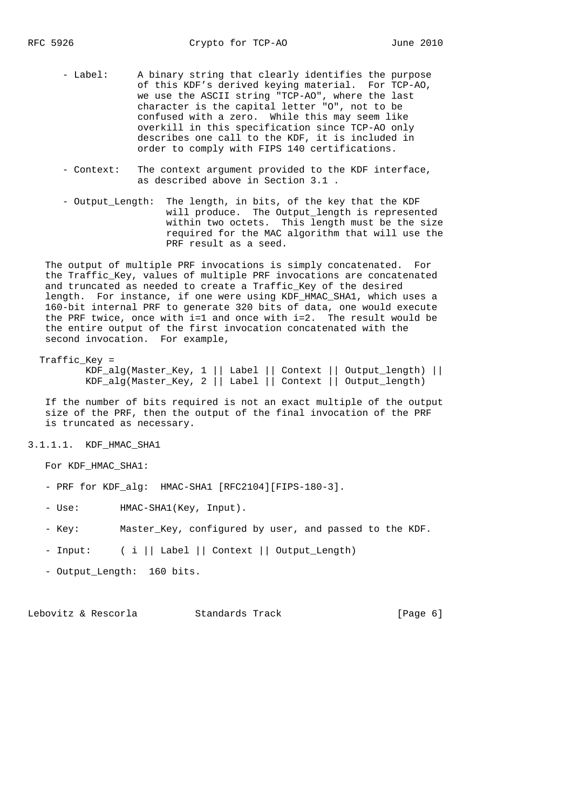- Label: A binary string that clearly identifies the purpose of this KDF's derived keying material. For TCP-AO, we use the ASCII string "TCP-AO", where the last character is the capital letter "O", not to be confused with a zero. While this may seem like overkill in this specification since TCP-AO only describes one call to the KDF, it is included in order to comply with FIPS 140 certifications.
	- Context: The context argument provided to the KDF interface, as described above in Section 3.1 .
	- Output\_Length: The length, in bits, of the key that the KDF will produce. The Output\_length is represented within two octets. This length must be the size required for the MAC algorithm that will use the PRF result as a seed.

 The output of multiple PRF invocations is simply concatenated. For the Traffic\_Key, values of multiple PRF invocations are concatenated and truncated as needed to create a Traffic\_Key of the desired length. For instance, if one were using KDF\_HMAC\_SHA1, which uses a 160-bit internal PRF to generate 320 bits of data, one would execute the PRF twice, once with i=1 and once with i=2. The result would be the entire output of the first invocation concatenated with the second invocation. For example,

Traffic\_Key =

 KDF\_alg(Master\_Key, 1 || Label || Context || Output\_length) || KDF\_alg(Master\_Key, 2 || Label || Context || Output\_length)

 If the number of bits required is not an exact multiple of the output size of the PRF, then the output of the final invocation of the PRF is truncated as necessary.

3.1.1.1. KDF\_HMAC\_SHA1

For KDF\_HMAC\_SHA1:

- PRF for KDF\_alg: HMAC-SHA1 [RFC2104][FIPS-180-3].
- Use: HMAC-SHA1(Key, Input).
- Key: Master\_Key, configured by user, and passed to the KDF.
- Input: ( i || Label || Context || Output\_Length)
- Output\_Length: 160 bits.

Lebovitz & Rescorla and Standards Track and Standards (Page 6)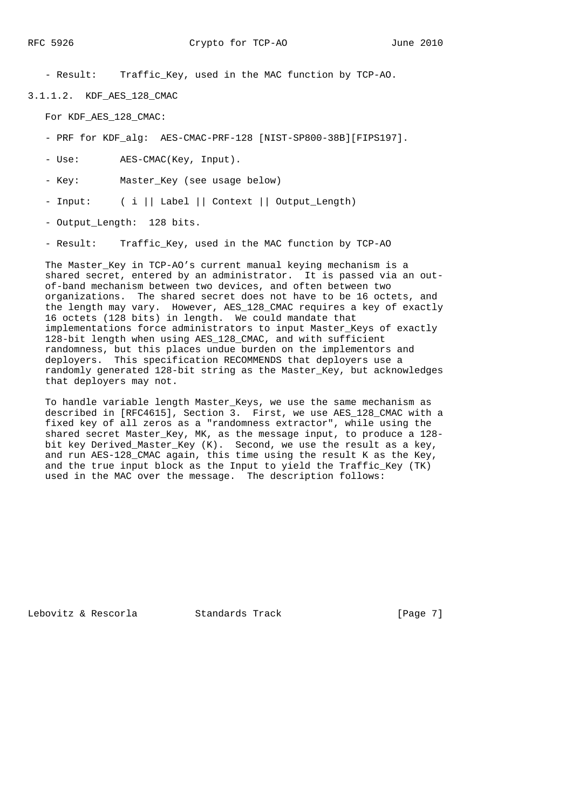- Result: Traffic\_Key, used in the MAC function by TCP-AO.

3.1.1.2. KDF\_AES\_128\_CMAC

For KDF\_AES\_128\_CMAC:

- PRF for KDF\_alg: AES-CMAC-PRF-128 [NIST-SP800-38B][FIPS197].
- Use: AES-CMAC(Key, Input).

- Key: Master\_Key (see usage below)

- Input: ( i || Label || Context || Output\_Length)
- Output Length: 128 bits.
- Result: Traffic\_Key, used in the MAC function by TCP-AO

 The Master\_Key in TCP-AO's current manual keying mechanism is a shared secret, entered by an administrator. It is passed via an out of-band mechanism between two devices, and often between two organizations. The shared secret does not have to be 16 octets, and the length may vary. However, AES\_128\_CMAC requires a key of exactly 16 octets (128 bits) in length. We could mandate that implementations force administrators to input Master\_Keys of exactly 128-bit length when using AES\_128\_CMAC, and with sufficient randomness, but this places undue burden on the implementors and deployers. This specification RECOMMENDS that deployers use a randomly generated 128-bit string as the Master\_Key, but acknowledges that deployers may not.

 To handle variable length Master\_Keys, we use the same mechanism as described in [RFC4615], Section 3. First, we use AES\_128\_CMAC with a fixed key of all zeros as a "randomness extractor", while using the shared secret Master\_Key, MK, as the message input, to produce a 128 bit key Derived\_Master\_Key (K). Second, we use the result as a key, and run AES-128\_CMAC again, this time using the result K as the Key, and the true input block as the Input to yield the Traffic\_Key (TK) used in the MAC over the message. The description follows:

Lebovitz & Rescorla Standards Track [Page 7]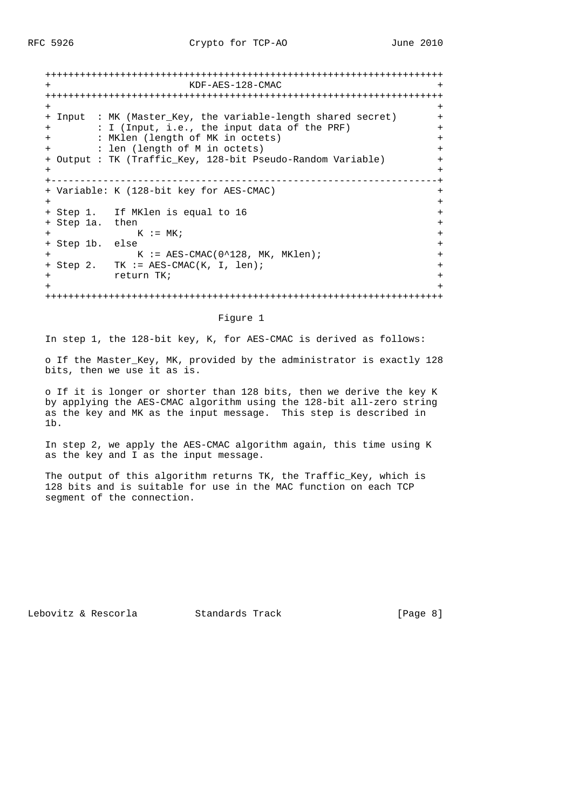+++++++++++++++++++++++++++++++++++++++++++++++++++++++++++++++++++++ KDF-AES-128-CMAC +++++++++++++++++++++++++++++++++++++++++++++++++++++++++++++++++++++ + + + Input : MK (Master\_Key, the variable-length shared secret) + + : I (Input, i.e., the input data of the PRF) + + : MKlen (length of MK in octets) + + : len (length of M in octets) + + Output : TK (Traffic\_Key, 128-bit Pseudo-Random Variable) + + + +-------------------------------------------------------------------+ + Variable: K (128-bit key for AES-CMAC) + + + + Step 1. If MKlen is equal to 16 + + Step 1a. then  $+$  + K := MK; + + Step 1b. else + + K := AES-CMAC(0^128, MK, MKlen); + + Step 2. TK := AES-CMAC(K, I, len); + + return TK; + + + +++++++++++++++++++++++++++++++++++++++++++++++++++++++++++++++++++++

#### Figure 1

In step 1, the 128-bit key, K, for AES-CMAC is derived as follows:

 o If the Master\_Key, MK, provided by the administrator is exactly 128 bits, then we use it as is.

 o If it is longer or shorter than 128 bits, then we derive the key K by applying the AES-CMAC algorithm using the 128-bit all-zero string as the key and MK as the input message. This step is described in 1b.

 In step 2, we apply the AES-CMAC algorithm again, this time using K as the key and I as the input message.

 The output of this algorithm returns TK, the Traffic\_Key, which is 128 bits and is suitable for use in the MAC function on each TCP segment of the connection.

Lebovitz & Rescorla Standards Track [Page 8]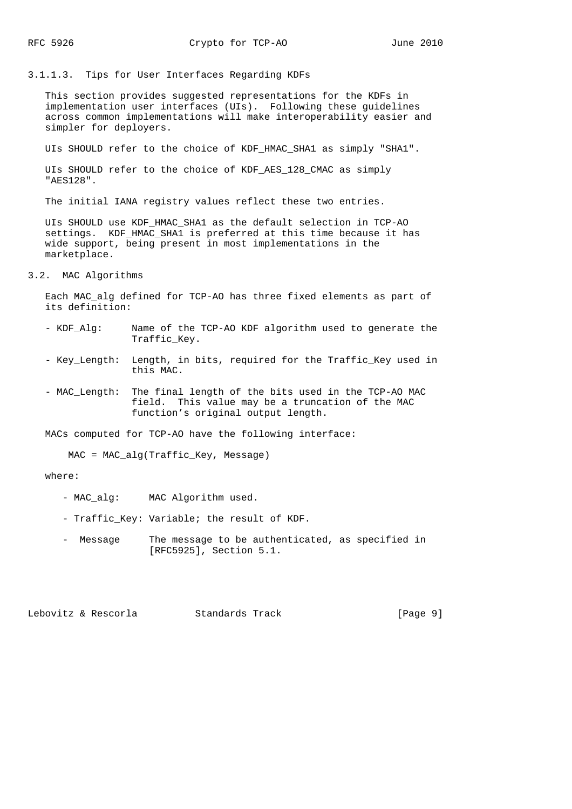#### 3.1.1.3. Tips for User Interfaces Regarding KDFs

 This section provides suggested representations for the KDFs in implementation user interfaces (UIs). Following these guidelines across common implementations will make interoperability easier and simpler for deployers.

UIs SHOULD refer to the choice of KDF\_HMAC\_SHA1 as simply "SHA1".

 UIs SHOULD refer to the choice of KDF\_AES\_128\_CMAC as simply "AES128".

The initial IANA registry values reflect these two entries.

UIs SHOULD use KDF HMAC SHA1 as the default selection in TCP-AO settings. KDF\_HMAC\_SHA1 is preferred at this time because it has wide support, being present in most implementations in the marketplace.

# 3.2. MAC Algorithms

 Each MAC\_alg defined for TCP-AO has three fixed elements as part of its definition:

- KDF\_Alg: Name of the TCP-AO KDF algorithm used to generate the Traffic\_Key.
- Key\_Length: Length, in bits, required for the Traffic\_Key used in this MAC.
- MAC\_Length: The final length of the bits used in the TCP-AO MAC field. This value may be a truncation of the MAC function's original output length.

MACs computed for TCP-AO have the following interface:

MAC = MAC\_alg(Traffic\_Key, Message)

# where:

- MAC\_alg: MAC Algorithm used.
- Traffic\_Key: Variable; the result of KDF.
- Message The message to be authenticated, as specified in [RFC5925], Section 5.1.

Lebovitz & Rescorla Standards Track [Page 9]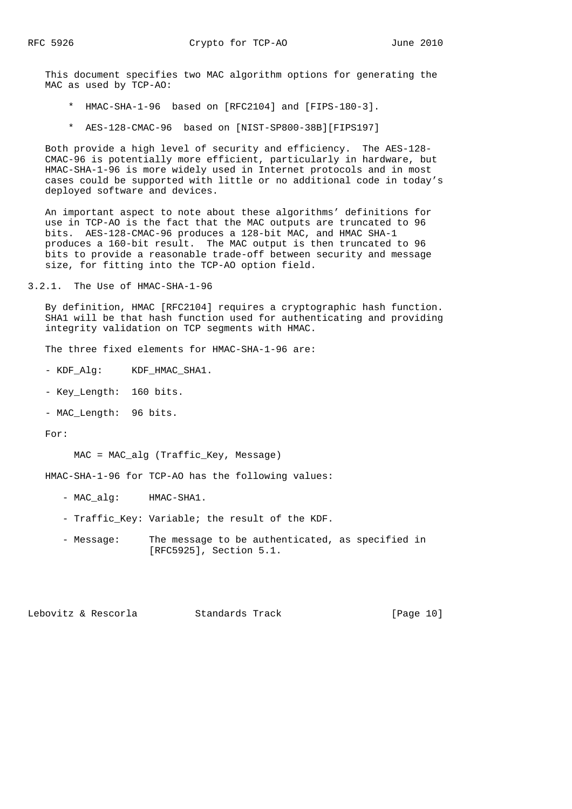This document specifies two MAC algorithm options for generating the MAC as used by TCP-AO:

- \* HMAC-SHA-1-96 based on [RFC2104] and [FIPS-180-3].
- \* AES-128-CMAC-96 based on [NIST-SP800-38B][FIPS197]

 Both provide a high level of security and efficiency. The AES-128- CMAC-96 is potentially more efficient, particularly in hardware, but HMAC-SHA-1-96 is more widely used in Internet protocols and in most cases could be supported with little or no additional code in today's deployed software and devices.

 An important aspect to note about these algorithms' definitions for use in TCP-AO is the fact that the MAC outputs are truncated to 96 bits. AES-128-CMAC-96 produces a 128-bit MAC, and HMAC SHA-1 produces a 160-bit result. The MAC output is then truncated to 96 bits to provide a reasonable trade-off between security and message size, for fitting into the TCP-AO option field.

3.2.1. The Use of HMAC-SHA-1-96

 By definition, HMAC [RFC2104] requires a cryptographic hash function. SHA1 will be that hash function used for authenticating and providing integrity validation on TCP segments with HMAC.

The three fixed elements for HMAC-SHA-1-96 are:

- KDF\_Alg: KDF\_HMAC\_SHA1.

- Key\_Length: 160 bits.
- MAC\_Length: 96 bits.

For:

MAC = MAC\_alg (Traffic\_Key, Message)

HMAC-SHA-1-96 for TCP-AO has the following values:

- MAC\_alg: HMAC-SHA1.
- Traffic\_Key: Variable; the result of the KDF.
- Message: The message to be authenticated, as specified in [RFC5925], Section 5.1.

Lebovitz & Rescorla Standards Track [Page 10]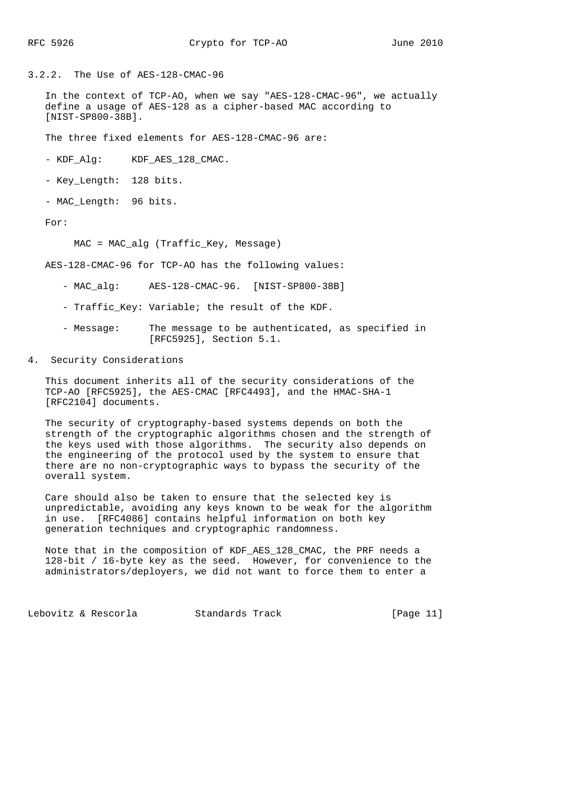3.2.2. The Use of AES-128-CMAC-96

 In the context of TCP-AO, when we say "AES-128-CMAC-96", we actually define a usage of AES-128 as a cipher-based MAC according to [NIST-SP800-38B].

The three fixed elements for AES-128-CMAC-96 are:

- KDF Alg: KDF AES 128 CMAC.

- Key\_Length: 128 bits.

- MAC\_Length: 96 bits.

For:

MAC = MAC\_alg (Traffic\_Key, Message)

AES-128-CMAC-96 for TCP-AO has the following values:

- MAC alg: AES-128-CMAC-96. [NIST-SP800-38B]
- Traffic\_Key: Variable; the result of the KDF.
- Message: The message to be authenticated, as specified in [RFC5925], Section 5.1.
- 4. Security Considerations

 This document inherits all of the security considerations of the TCP-AO [RFC5925], the AES-CMAC [RFC4493], and the HMAC-SHA-1 [RFC2104] documents.

 The security of cryptography-based systems depends on both the strength of the cryptographic algorithms chosen and the strength of the keys used with those algorithms. The security also depends on the engineering of the protocol used by the system to ensure that there are no non-cryptographic ways to bypass the security of the overall system.

 Care should also be taken to ensure that the selected key is unpredictable, avoiding any keys known to be weak for the algorithm in use. [RFC4086] contains helpful information on both key generation techniques and cryptographic randomness.

 Note that in the composition of KDF\_AES\_128\_CMAC, the PRF needs a 128-bit / 16-byte key as the seed. However, for convenience to the administrators/deployers, we did not want to force them to enter a

Lebovitz & Rescorla Standards Track [Page 11]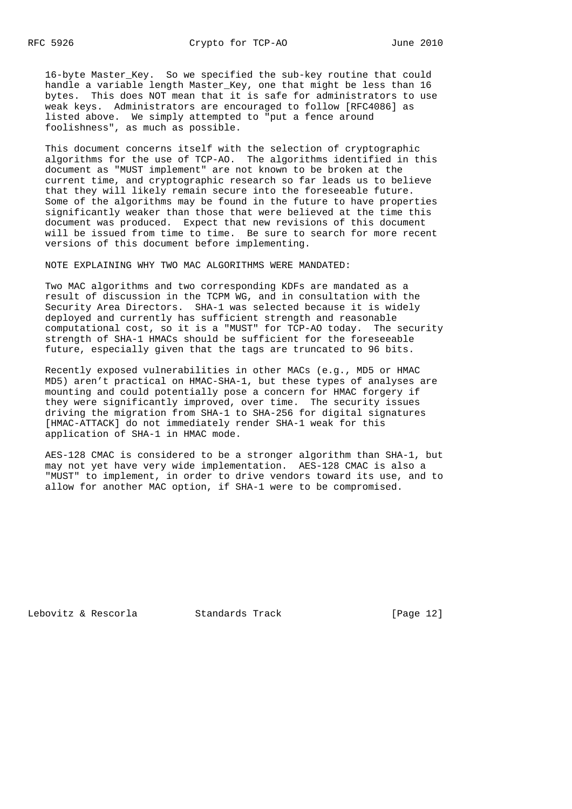16-byte Master\_Key. So we specified the sub-key routine that could handle a variable length Master\_Key, one that might be less than 16 bytes. This does NOT mean that it is safe for administrators to use weak keys. Administrators are encouraged to follow [RFC4086] as listed above. We simply attempted to "put a fence around foolishness", as much as possible.

 This document concerns itself with the selection of cryptographic algorithms for the use of TCP-AO. The algorithms identified in this document as "MUST implement" are not known to be broken at the current time, and cryptographic research so far leads us to believe that they will likely remain secure into the foreseeable future. Some of the algorithms may be found in the future to have properties significantly weaker than those that were believed at the time this document was produced. Expect that new revisions of this document will be issued from time to time. Be sure to search for more recent versions of this document before implementing.

NOTE EXPLAINING WHY TWO MAC ALGORITHMS WERE MANDATED:

 Two MAC algorithms and two corresponding KDFs are mandated as a result of discussion in the TCPM WG, and in consultation with the Security Area Directors. SHA-1 was selected because it is widely deployed and currently has sufficient strength and reasonable computational cost, so it is a "MUST" for TCP-AO today. The security strength of SHA-1 HMACs should be sufficient for the foreseeable future, especially given that the tags are truncated to 96 bits.

 Recently exposed vulnerabilities in other MACs (e.g., MD5 or HMAC MD5) aren't practical on HMAC-SHA-1, but these types of analyses are mounting and could potentially pose a concern for HMAC forgery if they were significantly improved, over time. The security issues driving the migration from SHA-1 to SHA-256 for digital signatures [HMAC-ATTACK] do not immediately render SHA-1 weak for this application of SHA-1 in HMAC mode.

 AES-128 CMAC is considered to be a stronger algorithm than SHA-1, but may not yet have very wide implementation. AES-128 CMAC is also a "MUST" to implement, in order to drive vendors toward its use, and to allow for another MAC option, if SHA-1 were to be compromised.

Lebovitz & Rescorla Standards Track [Page 12]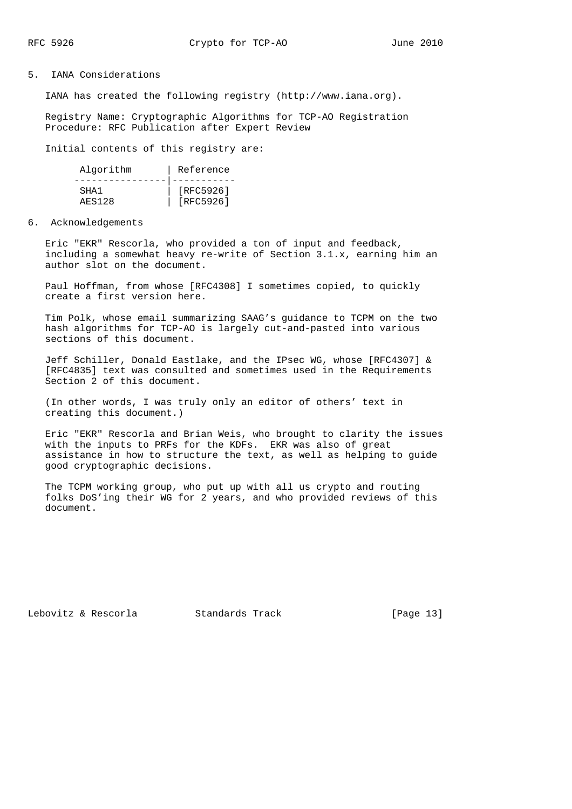# 5. IANA Considerations

IANA has created the following registry (http://www.iana.org).

 Registry Name: Cryptographic Algorithms for TCP-AO Registration Procedure: RFC Publication after Expert Review

Initial contents of this registry are:

| Algorithm     | Reference |
|---------------|-----------|
|               |           |
| SHA1          | [RFC5926] |
| <b>AES128</b> | [RFC5926] |

#### 6. Acknowledgements

 Eric "EKR" Rescorla, who provided a ton of input and feedback, including a somewhat heavy re-write of Section 3.1.x, earning him an author slot on the document.

 Paul Hoffman, from whose [RFC4308] I sometimes copied, to quickly create a first version here.

 Tim Polk, whose email summarizing SAAG's guidance to TCPM on the two hash algorithms for TCP-AO is largely cut-and-pasted into various sections of this document.

 Jeff Schiller, Donald Eastlake, and the IPsec WG, whose [RFC4307] & [RFC4835] text was consulted and sometimes used in the Requirements Section 2 of this document.

 (In other words, I was truly only an editor of others' text in creating this document.)

 Eric "EKR" Rescorla and Brian Weis, who brought to clarity the issues with the inputs to PRFs for the KDFs. EKR was also of great assistance in how to structure the text, as well as helping to guide good cryptographic decisions.

 The TCPM working group, who put up with all us crypto and routing folks DoS'ing their WG for 2 years, and who provided reviews of this document.

Lebovitz & Rescorla Standards Track [Page 13]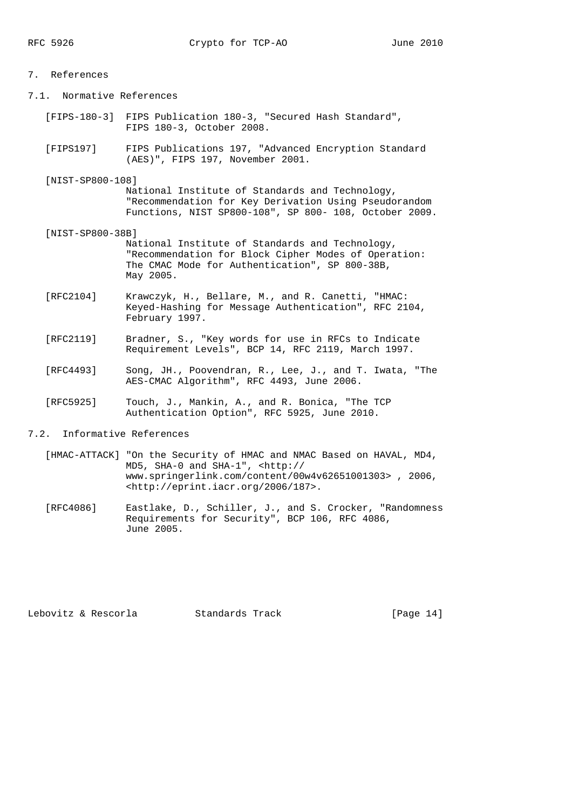| 7. References             |                                                                                                                                                                        |
|---------------------------|------------------------------------------------------------------------------------------------------------------------------------------------------------------------|
| 7.1. Normative References |                                                                                                                                                                        |
|                           | [FIPS-180-3] FIPS Publication 180-3, "Secured Hash Standard",<br>FIPS 180-3, October 2008.                                                                             |
| [FIPS197]                 | FIPS Publications 197, "Advanced Encryption Standard<br>(AES)", FIPS 197, November 2001.                                                                               |
| [NIST-SP800-108]          | National Institute of Standards and Technology,<br>"Recommendation for Key Derivation Using Pseudorandom<br>Functions, NIST SP800-108", SP 800- 108, October 2009.     |
| [NIST-SP800-38B]          | National Institute of Standards and Technology,<br>"Recommendation for Block Cipher Modes of Operation:<br>The CMAC Mode for Authentication", SP 800-38B,<br>May 2005. |
| [RFC2104]                 | Krawczyk, H., Bellare, M., and R. Canetti, "HMAC:<br>Keyed-Hashing for Message Authentication", RFC 2104,<br>February 1997.                                            |
| [RFC2119]                 | Bradner, S., "Key words for use in RFCs to Indicate<br>Requirement Levels", BCP 14, RFC 2119, March 1997.                                                              |
| [RFC4493]                 | Song, JH., Poovendran, R., Lee, J., and T. Iwata, "The<br>AES-CMAC Algorithm", RFC 4493, June 2006.                                                                    |
|                           |                                                                                                                                                                        |

- [RFC5925] Touch, J., Mankin, A., and R. Bonica, "The TCP Authentication Option", RFC 5925, June 2010.
- 7.2. Informative References
	- [HMAC-ATTACK] "On the Security of HMAC and NMAC Based on HAVAL, MD4, MD5, SHA-0 and SHA-1", <http:// www.springerlink.com/content/00w4v62651001303> , 2006, <http://eprint.iacr.org/2006/187>.
- [RFC4086] Eastlake, D., Schiller, J., and S. Crocker, "Randomness Requirements for Security", BCP 106, RFC 4086, June 2005.

Lebovitz & Rescorla Standards Track [Page 14]